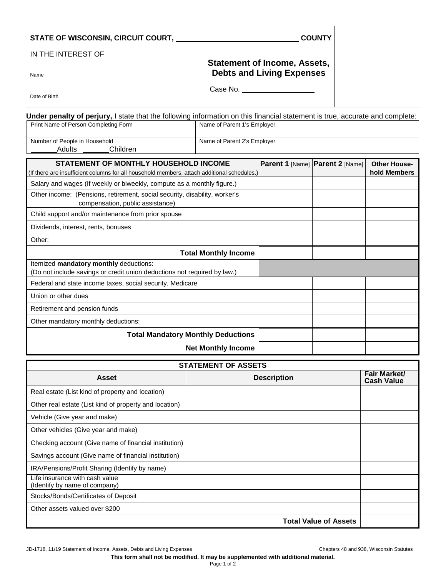## STATE OF WISCONSIN, CIRCUIT COURT, **COUNTY**

Adults Children

## IN THE INTEREST OF

## **Statement of Income, Assets, Debts and Living Expenses**

Name

Case No. \_\_\_\_

Date of Birth

**Under penalty of perjury,** I state that the following information on this financial statement is true, accurate and complete: Print Name of Person Completing Form Name of Parent 1's Employer Number of People in Household Name of Parent 2's Employer

| Adults<br>Children                                                                                                                   |                                 |                                     |
|--------------------------------------------------------------------------------------------------------------------------------------|---------------------------------|-------------------------------------|
| STATEMENT OF MONTHLY HOUSEHOLD INCOME<br>(If there are insufficient columns for all household members, attach additional schedules.) | Parent 1 [Name] Parent 2 [Name] | <b>Other House-</b><br>hold Members |
| Salary and wages (If weekly or biweekly, compute as a monthly figure.)                                                               |                                 |                                     |
| Other income: (Pensions, retirement, social security, disability, worker's<br>compensation, public assistance)                       |                                 |                                     |
| Child support and/or maintenance from prior spouse                                                                                   |                                 |                                     |
| Dividends, interest, rents, bonuses                                                                                                  |                                 |                                     |
| Other:                                                                                                                               |                                 |                                     |
| <b>Total Monthly Income</b>                                                                                                          |                                 |                                     |
| Itemized mandatory monthly deductions:<br>(Do not include savings or credit union deductions not required by law.)                   |                                 |                                     |
| Federal and state income taxes, social security, Medicare                                                                            |                                 |                                     |
| Union or other dues                                                                                                                  |                                 |                                     |
| Retirement and pension funds                                                                                                         |                                 |                                     |
| Other mandatory monthly deductions:                                                                                                  |                                 |                                     |
| <b>Total Mandatory Monthly Deductions</b>                                                                                            |                                 |                                     |
| <b>Net Monthly Income</b>                                                                                                            |                                 |                                     |

| <b>STATEMENT OF ASSETS</b>                                      |                              |                                   |  |  |
|-----------------------------------------------------------------|------------------------------|-----------------------------------|--|--|
| Asset                                                           | <b>Description</b>           | Fair Market/<br><b>Cash Value</b> |  |  |
| Real estate (List kind of property and location)                |                              |                                   |  |  |
| Other real estate (List kind of property and location)          |                              |                                   |  |  |
| Vehicle (Give year and make)                                    |                              |                                   |  |  |
| Other vehicles (Give year and make)                             |                              |                                   |  |  |
| Checking account (Give name of financial institution)           |                              |                                   |  |  |
| Savings account (Give name of financial institution)            |                              |                                   |  |  |
| IRA/Pensions/Profit Sharing (Identify by name)                  |                              |                                   |  |  |
| Life insurance with cash value<br>(Identify by name of company) |                              |                                   |  |  |
| Stocks/Bonds/Certificates of Deposit                            |                              |                                   |  |  |
| Other assets valued over \$200                                  |                              |                                   |  |  |
|                                                                 | <b>Total Value of Assets</b> |                                   |  |  |

JD-1718, 11/19 Statement of Income, Assets, Debts and Living Expenses Chapters 48 and 938, Wisconsin Statutes